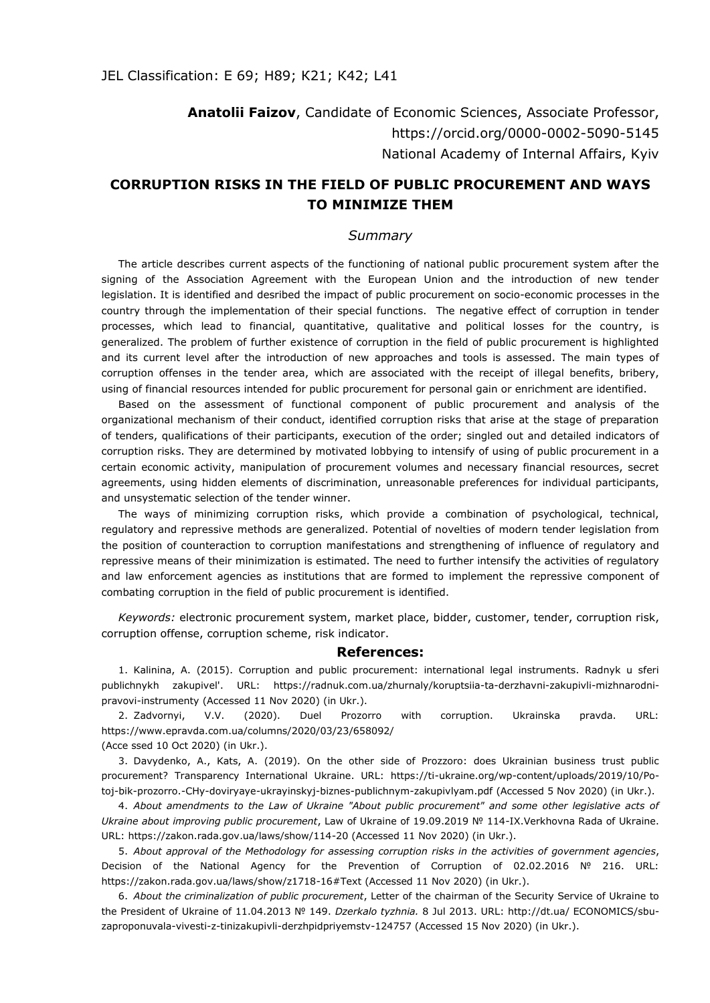**Anatolii Faizov**, Candidate of Economic Sciences, Associate Professor, <https://orcid.org/0000-0002-5090-5145> National Academy of Internal Affairs, Kyiv

## **CORRUPTION RISKS IN THE FIELD OF PUBLIC PROCUREMENT AND WAYS TO MINIMIZE THEM**

## *Summary*

The article describes current aspects of the functioning of national public procurement system after the signing of the Association Agreement with the European Union and the introduction of new tender legislation. It is identified and desribed the impact of public procurement on socio-economic processes in the country through the implementation of their special functions. The negative effect of corruption in tender processes, which lead to financial, quantitative, qualitative and political losses for the country, is generalized. The problem of further existence of corruption in the field of public procurement is highlighted and its current level after the introduction of new approaches and tools is assessed. The main types of corruption offenses in the tender area, which are associated with the receipt of illegal benefits, bribery, using of financial resources intended for public procurement for personal gain or enrichment are identified.

Based on the assessment of functional component of public procurement and analysis of the organizational mechanism of their conduct, identified corruption risks that arise at the stage of preparation of tenders, qualifications of their participants, execution of the order; singled out and detailed іndicators of corruption risks. They are determined by motivated lobbying to intensify of using of public procurement in a certain economic activity, manipulation of procurement volumes and necessary financial resources, secret agreements, using hidden elements of discrimination, unreasonable preferences for individual participants, and unsystematic selection of the tender winner.

The ways of minimizing corruption risks, which provide a combination of psychological, technical, regulatory and repressive methods are generalized. Potential of novelties of modern tender legislation from the position of counteraction to corruption manifestations and strengthening of influence of regulatory and repressive means of their minimization is estimated. The need to further intensify the activities of regulatory and law enforcement agencies as institutions that are formed to implement the repressive component of combating corruption in the field of public procurement is identified.

*Keywords:* electronic procurement system, market place, bidder, customer, tender, corruption risk, corruption offense, corruption scheme, risk indicator.

## **References:**

1. Kalinina, A. (2015). Corruption and public procurement: international legal instruments. Radnyk u sferi publichnykh zakupivel'. URL: https://radnuk.com.ua/zhurnaly/koruptsiia-ta-derzhavni-zakupivli-mizhnarodnipravovi-instrumenty (Accessed 11 Nov 2020) (in Ukr.).

2. Zadvornyi, V.V. (2020). Duel Prozorro with corruption. Ukrainska pravda. URL: https://www.epravda.com.ua/columns/2020/03/23/658092/ (Acce ssed 10 Осt 2020) (in Ukr.).

3. Davydenko, A., Kats, A. (2019). On the other side of Prozzoro: does Ukrainian business trust public procurement? Transparency International Ukraine. URL: https://ti-ukraine.org/wp-content/uploads/2019/10/Potoj-bik-prozorro.-CHy-doviryaye-ukrayinskyj-biznes-publichnym-zakupivlyam.pdf (Accessed 5 Nov 2020) (in Ukr.).

4. *About amendments to the Law of Ukraine "About public procurement" and some other legislative acts of Ukraine about improving public procurement*, Law of Ukraine of 19.09.2019 № 114-IX.Verkhovna Rada of Ukraine. URL: https://zakon.rada.gov.ua/laws/show/114-20 (Accessed 11 Nov 2020) (in Ukr.).

5. *About approval of the Methodology for assessing corruption risks in the activities of government agencies*, Decision of the National Agency for the Prevention of Corruption of 02.02.2016 № 216. URL: <https://zakon.rada.gov.ua/laws/show/z1718-16#Text> (Accessed 11 Nov 2020) (in Ukr.).

6. *About the criminalization of public procurement*, Letter of the chairman of the Security Service of Ukraine to the President of Ukraine of 11.04.2013 № 149. *Dzerkalo tyzhnia.* 8 Jul 2013. URL: http://dt.ua/ ECONOMICS/sbuzaproponuvala-vivesti-z-tinizakupivli-derzhpidpriyemstv-124757 (Accessed 15 Nov 2020) (in Ukr.).